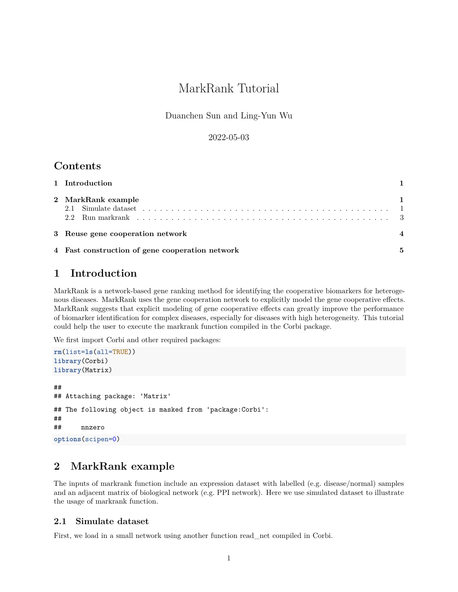# MarkRank Tutorial

Duanchen Sun and Ling-Yun Wu

#### 2022-05-03

### **Contents**

| 1 Introduction                                  |  |  |  |  |  |  |  |  |  |  |
|-------------------------------------------------|--|--|--|--|--|--|--|--|--|--|
| 2 MarkRank example                              |  |  |  |  |  |  |  |  |  |  |
| 3 Reuse gene cooperation network                |  |  |  |  |  |  |  |  |  |  |
| 4 Fast construction of gene cooperation network |  |  |  |  |  |  |  |  |  |  |

## <span id="page-0-0"></span>**1 Introduction**

MarkRank is a network-based gene ranking method for identifying the cooperative biomarkers for heterogenous diseases. MarkRank uses the gene cooperation network to explicitly model the gene cooperative effects. MarkRank suggests that explicit modeling of gene cooperative effects can greatly improve the performance of biomarker identification for complex diseases, especially for diseases with high heterogeneity. This tutorial could help the user to execute the markrank function compiled in the Corbi package.

We first import Corbi and other required packages:

```
rm(list=ls(all=TRUE))
library(Corbi)
library(Matrix)
##
## Attaching package: 'Matrix'
## The following object is masked from 'package:Corbi':
##
## nnzero
options(scipen=0)
```
### <span id="page-0-1"></span>**2 MarkRank example**

The inputs of markrank function include an expression dataset with labelled (e.g. disease/normal) samples and an adjacent matrix of biological network (e.g. PPI network). Here we use simulated dataset to illustrate the usage of markrank function.

#### <span id="page-0-2"></span>**2.1 Simulate dataset**

First, we load in a small network using another function read\_net compiled in Corbi.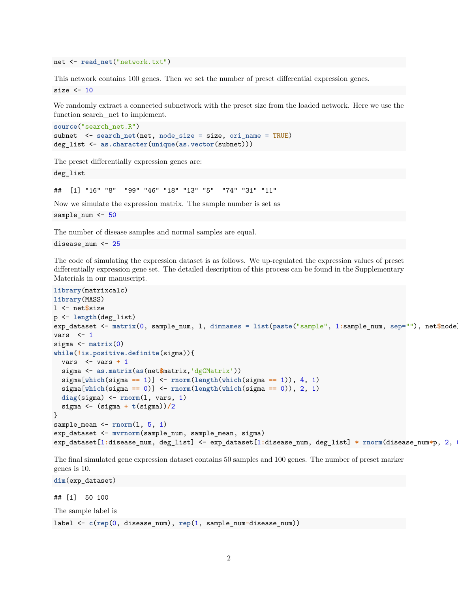net <- **read\_net**("network.txt")

This network contains 100 genes. Then we set the number of preset differential expression genes. size  $<-10$ 

We randomly extract a connected subnetwork with the preset size from the loaded network. Here we use the function search\_net to implement.

```
source("search_net.R")
subnet <- search_net(net, node_size = size, ori_name = TRUE)
deg_list <- as.character(unique(as.vector(subnet)))
```
The preset differentially expression genes are:

deg\_list

## [1] "16" "8" "99" "46" "18" "13" "5" "74" "31" "11"

Now we simulate the expression matrix. The sample number is set as

sample\_num <- 50

The number of disease samples and normal samples are equal.

```
disease_num <- 25
```
The code of simulating the expression dataset is as follows. We up-regulated the expression values of preset differentially expression gene set. The detailed description of this process can be found in the Supplementary Materials in our manuscript.

```
library(matrixcalc)
library(MASS)
l <- net$size
p <- length(deg_list)
exp_dataset <- matrix(0, sample_num, l, dimnames = list(paste("sample", 1:sample_num, sep=""), net$node))
vars \leftarrow 1
sigma <- matrix(0)
while(!is.positive.definite(sigma)){
  vars <- vars + 1
  sigma <- as.matrix(as(net$matrix,'dgCMatrix'))
  sigma[which(sigma == 1)] <- rnorm(length(which(sigma == 1)), 4, 1)
  sigma[which(sigma == 0)] <- rnorm(length(which(sigma == 0)), 2, 1)
 diag(sigma) <- rnorm(l, vars, 1)
  sigma <- (sigma + t(sigma))/2
}
sample_mean <- rnorm(l, 5, 1)
exp_dataset <- mvrnorm(sample_num, sample_mean, sigma)
exp_dataset[1:disease_num, deg_list] <- exp_dataset[1:disease_num, deg_list] * rnorm(disease_num*p, 2, 0.1)
```
The final simulated gene expression dataset contains 50 samples and 100 genes. The number of preset marker genes is 10.

**dim**(exp\_dataset)

## [1] 50 100

The sample label is

label <- **c**(**rep**(0, disease\_num), **rep**(1, sample\_num**-**disease\_num))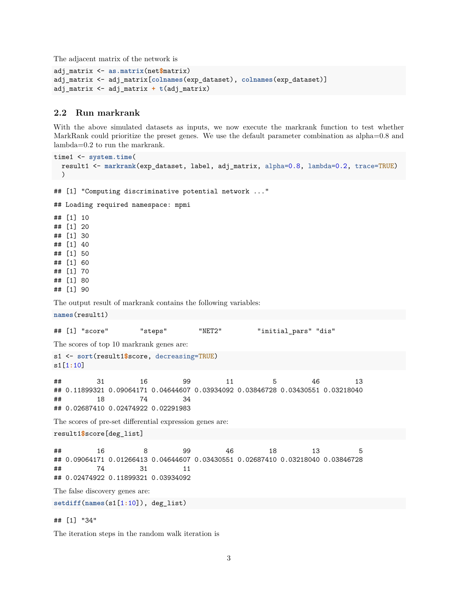The adjacent matrix of the network is

```
adj_matrix <- as.matrix(net$matrix)
adj_matrix <- adj_matrix[colnames(exp_dataset), colnames(exp_dataset)]
adj_matrix <- adj_matrix + t(adj_matrix)
```
#### <span id="page-2-0"></span>**2.2 Run markrank**

With the above simulated datasets as inputs, we now execute the markrank function to test whether MarkRank could prioritize the preset genes. We use the default parameter combination as alpha=0.8 and lambda=0.2 to run the markrank.

```
time1 <- system.time(
 result1 <- markrank(exp_dataset, label, adj_matrix, alpha=0.8, lambda=0.2, trace=TRUE)
\rightarrow## [1] "Computing discriminative potential network ..."
## Loading required namespace: mpmi
## [1] 10
## [1] 20
## [1] 30
## [1] 40
## [1] 50
## [1] 60
## [1] 70
## [1] 80
## [1] 90
The output result of markrank contains the following variables:
names(result1)
## [1] "score" "steps" "NET2" "initial_pars" "dis"
The scores of top 10 markrank genes are:
s1 <- sort(result1$score, decreasing=TRUE)
s1[1:10]
## 31 16 99 11 5 46 13
## 0.11899321 0.09064171 0.04644607 0.03934092 0.03846728 0.03430551 0.03218040
## 18 74 34
## 0.02687410 0.02474922 0.02291983
The scores of pre-set differential expression genes are:
result1$score[deg_list]
## 16 8 99 46 18 13 5
## 0.09064171 0.01266413 0.04644607 0.03430551 0.02687410 0.03218040 0.03846728
## 74 31 11
## 0.02474922 0.11899321 0.03934092
The false discovery genes are:
setdiff(names(s1[1:10]), deg_list)
```
## [1] "34"

The iteration steps in the random walk iteration is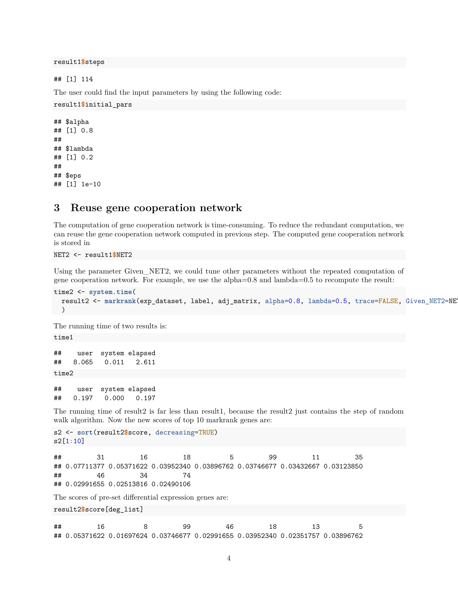result1**\$**steps

## [1] 114

The user could find the input parameters by using the following code:

```
result1$initial_pars
```

```
## $alpha
## [1] 0.8
##
## $lambda
## [1] 0.2
##
## $eps
## [1] 1e-10
```
#### <span id="page-3-0"></span>**3 Reuse gene cooperation network**

The computation of gene cooperation network is time-consuming. To reduce the redundant computation, we can reuse the gene cooperation network computed in previous step. The computed gene cooperation network is stored in

NET2 <- result1**\$**NET2

Using the parameter Given\_NET2, we could tune other parameters without the repeated computation of gene cooperation network. For example, we use the alpha=0.8 and lambda=0.5 to recompute the result:

```
time2 <- system.time(
 result2 <- markrank(exp_dataset, label, adj_matrix, alpha=0.8, lambda=0.5, trace=FALSE, Given_NET2=NET2)
 )
```
The running time of two results is:

time1

```
## user system elapsed
## 8.065 0.011 2.611
time2
```
## user system elapsed ## 0.197 0.000 0.197

The running time of result2 is far less than result1, because the result2 just contains the step of random walk algorithm. Now the new scores of top 10 markrank genes are:

```
s2 <- sort(result2$score, decreasing=TRUE)
s2[1:10]
```
## 31 16 18 5 99 11 35 ## 0.07711377 0.05371622 0.03952340 0.03896762 0.03746677 0.03432667 0.03123850 ## 46 34 74 ## 0.02991655 0.02513816 0.02490106

The scores of pre-set differential expression genes are:

result2**\$**score[deg\_list]

## 16 8 99 46 18 13 5 ## 0.05371622 0.01697624 0.03746677 0.02991655 0.03952340 0.02351757 0.03896762